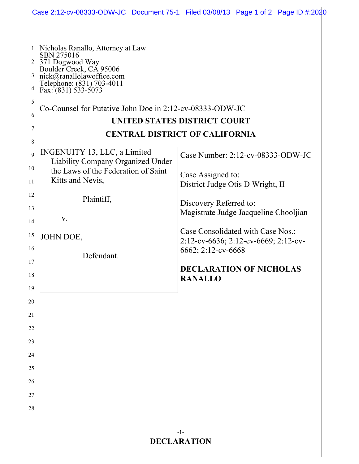|                                                        |                                                                                                                                                                                                                                              | Case 2:12-cv-08333-ODW-JC Document 75-1 Filed 03/08/13 Page 1 of 2 Page ID #:2020 |  |
|--------------------------------------------------------|----------------------------------------------------------------------------------------------------------------------------------------------------------------------------------------------------------------------------------------------|-----------------------------------------------------------------------------------|--|
| $\frac{2}{2}$<br>$3\vert$<br>4 <br>$\mathfrak{h}$<br>6 | Nicholas Ranallo, Attorney at Law<br>SBN 275016<br>371 Dogwood Way<br>Boulder Creek, CA 95006<br>nick@ranallolawoffice.com<br>Telephone: (831) 703-4011<br>Fax: $(831)$ 533-5073<br>Co-Counsel for Putative John Doe in 2:12-cv-08333-ODW-JC | <b>UNITED STATES DISTRICT COURT</b>                                               |  |
| 7                                                      | <b>CENTRAL DISTRICT OF CALIFORNIA</b>                                                                                                                                                                                                        |                                                                                   |  |
| 8<br>9<br>10 <sup>1</sup><br>11                        | INGENUITY 13, LLC, a Limited<br><b>Liability Company Organized Under</b><br>the Laws of the Federation of Saint<br>Kitts and Nevis,                                                                                                          | Case Number: 2:12-cv-08333-ODW-JC<br>Case Assigned to:                            |  |
| 12                                                     |                                                                                                                                                                                                                                              | District Judge Otis D Wright, II                                                  |  |
| 13                                                     | Plaintiff,                                                                                                                                                                                                                                   | Discovery Referred to:                                                            |  |
| 14                                                     | V.                                                                                                                                                                                                                                           | Magistrate Judge Jacqueline Chooljian                                             |  |
| 15                                                     | JOHN DOE,                                                                                                                                                                                                                                    | Case Consolidated with Case Nos.:<br>2:12-cv-6636; 2:12-cv-6669; 2:12-cv-         |  |
| 16                                                     | Defendant.                                                                                                                                                                                                                                   | 6662; 2:12-cv-6668                                                                |  |
| 17<br>18                                               |                                                                                                                                                                                                                                              | <b>DECLARATION OF NICHOLAS</b><br><b>RANALLO</b>                                  |  |
| 19<br>20                                               |                                                                                                                                                                                                                                              |                                                                                   |  |
| 21                                                     |                                                                                                                                                                                                                                              |                                                                                   |  |
| 22                                                     |                                                                                                                                                                                                                                              |                                                                                   |  |
| 23                                                     |                                                                                                                                                                                                                                              |                                                                                   |  |
| 24                                                     |                                                                                                                                                                                                                                              |                                                                                   |  |
| 25                                                     |                                                                                                                                                                                                                                              |                                                                                   |  |
| 26                                                     |                                                                                                                                                                                                                                              |                                                                                   |  |
| 27                                                     |                                                                                                                                                                                                                                              |                                                                                   |  |
| 28                                                     |                                                                                                                                                                                                                                              |                                                                                   |  |
|                                                        |                                                                                                                                                                                                                                              |                                                                                   |  |
|                                                        | $-1-$<br><b>DECLARATION</b>                                                                                                                                                                                                                  |                                                                                   |  |
|                                                        |                                                                                                                                                                                                                                              |                                                                                   |  |